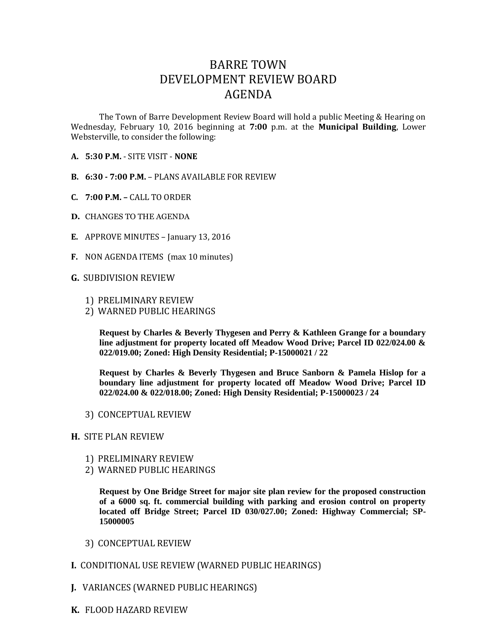## BARRE TOWN DEVELOPMENT REVIEW BOARD AGENDA

The Town of Barre Development Review Board will hold a public Meeting & Hearing on Wednesday, February 10, 2016 beginning at **7:00** p.m. at the **Municipal Building**, Lower Websterville, to consider the following:

- **A. 5:30 P.M.** SITE VISIT **NONE**
- **B. 6:30 - 7:00 P.M.** PLANS AVAILABLE FOR REVIEW
- **C. 7:00 P.M. –** CALL TO ORDER
- **D.** CHANGES TO THE AGENDA
- **E.** APPROVE MINUTES January 13, 2016
- **F.** NON AGENDA ITEMS (max 10 minutes)
- **G.** SUBDIVISION REVIEW
	- 1) PRELIMINARY REVIEW
	- 2) WARNED PUBLIC HEARINGS

**Request by Charles & Beverly Thygesen and Perry & Kathleen Grange for a boundary line adjustment for property located off Meadow Wood Drive; Parcel ID 022/024.00 & 022/019.00; Zoned: High Density Residential; P-15000021 / 22**

**Request by Charles & Beverly Thygesen and Bruce Sanborn & Pamela Hislop for a boundary line adjustment for property located off Meadow Wood Drive; Parcel ID 022/024.00 & 022/018.00; Zoned: High Density Residential; P-15000023 / 24**

3) CONCEPTUAL REVIEW

## **H.** SITE PLAN REVIEW

- 1) PRELIMINARY REVIEW
- 2) WARNED PUBLIC HEARINGS

**Request by One Bridge Street for major site plan review for the proposed construction of a 6000 sq. ft. commercial building with parking and erosion control on property located off Bridge Street; Parcel ID 030/027.00; Zoned: Highway Commercial; SP-15000005**

- 3) CONCEPTUAL REVIEW
- **I.** CONDITIONAL USE REVIEW (WARNED PUBLIC HEARINGS)
- **J.** VARIANCES (WARNED PUBLIC HEARINGS)
- **K.** FLOOD HAZARD REVIEW